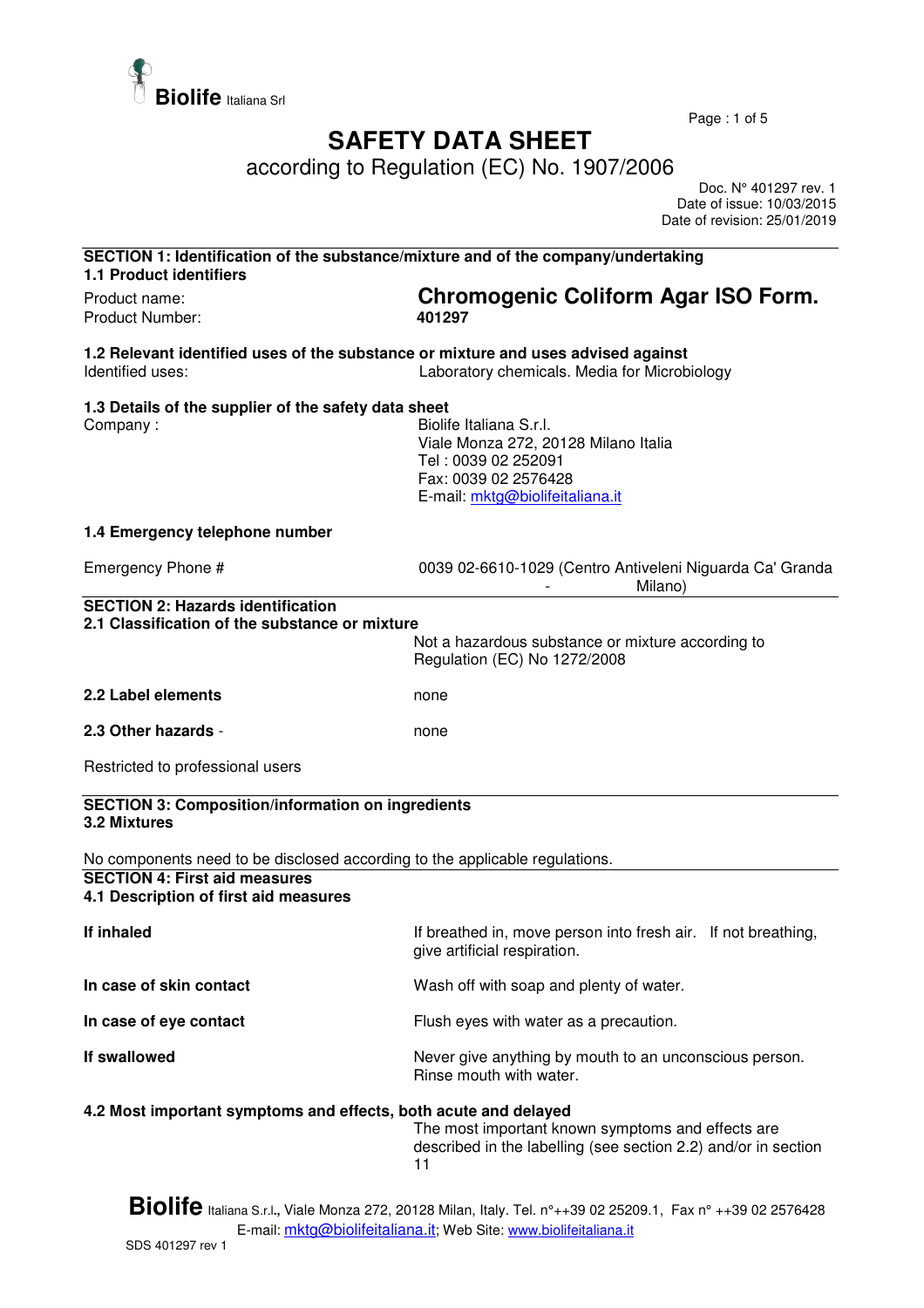

Page : 1 of 5

## **SAFETY DATA SHEET**

according to Regulation (EC) No. 1907/2006

 Doc. N° 401297 rev. 1 Date of issue: 10/03/2015 Date of revision: 25/01/2019

| SECTION 1: Identification of the substance/mixture and of the company/undertaking<br><b>1.1 Product identifiers</b> |                                                                                                                                                   |
|---------------------------------------------------------------------------------------------------------------------|---------------------------------------------------------------------------------------------------------------------------------------------------|
| Product name:<br><b>Product Number:</b>                                                                             | Chromogenic Coliform Agar ISO Form.<br>401297                                                                                                     |
|                                                                                                                     |                                                                                                                                                   |
| 1.2 Relevant identified uses of the substance or mixture and uses advised against<br>Identified uses:               | Laboratory chemicals. Media for Microbiology                                                                                                      |
| 1.3 Details of the supplier of the safety data sheet                                                                |                                                                                                                                                   |
| Company:                                                                                                            | Biolife Italiana S.r.l.<br>Viale Monza 272, 20128 Milano Italia<br>Tel: 0039 02 252091<br>Fax: 0039 02 2576428<br>E-mail: mktg@biolifeitaliana.it |
| 1.4 Emergency telephone number                                                                                      |                                                                                                                                                   |
| Emergency Phone #                                                                                                   | 0039 02-6610-1029 (Centro Antiveleni Niguarda Ca' Granda<br>Milano)                                                                               |
| <b>SECTION 2: Hazards identification</b>                                                                            |                                                                                                                                                   |
| 2.1 Classification of the substance or mixture                                                                      | Not a hazardous substance or mixture according to<br>Regulation (EC) No 1272/2008                                                                 |
| 2.2 Label elements                                                                                                  | none                                                                                                                                              |
| 2.3 Other hazards -                                                                                                 | none                                                                                                                                              |
| Restricted to professional users                                                                                    |                                                                                                                                                   |
| <b>SECTION 3: Composition/information on ingredients</b><br>3.2 Mixtures                                            |                                                                                                                                                   |
| No components need to be disclosed according to the applicable regulations.                                         |                                                                                                                                                   |
| <b>SECTION 4: First aid measures</b><br>4.1 Description of first aid measures                                       |                                                                                                                                                   |
| If inhaled                                                                                                          | If breathed in, move person into fresh air. If not breathing,<br>give artificial respiration.                                                     |
| In case of skin contact                                                                                             | Wash off with soap and plenty of water.                                                                                                           |
| In case of eye contact                                                                                              | Flush eyes with water as a precaution.                                                                                                            |
| If swallowed                                                                                                        | Never give anything by mouth to an unconscious person.<br>Rinse mouth with water.                                                                 |
| 4.2 Most important symptoms and effects, both acute and delayed                                                     | The most important known symptoms and effects are<br>described in the labelling (see section 2.2) and/or in section<br>11                         |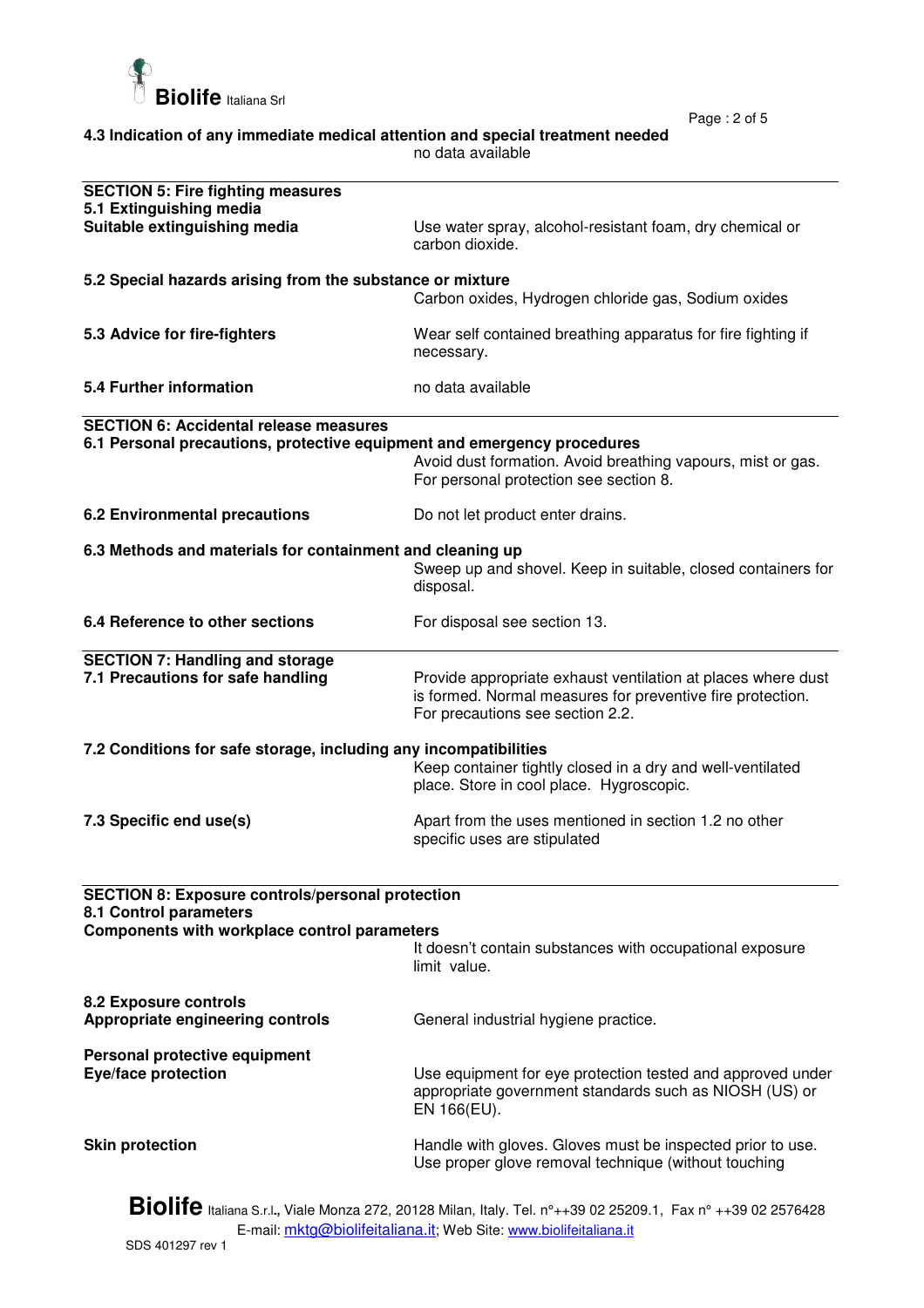

Page : 2 of 5

| 4.3 Indication of any immediate medical attention and special treatment needed |  |
|--------------------------------------------------------------------------------|--|
| no data available                                                              |  |

| <b>SECTION 5: Fire fighting measures</b>                                          |                                                                                                                                                                |
|-----------------------------------------------------------------------------------|----------------------------------------------------------------------------------------------------------------------------------------------------------------|
| 5.1 Extinguishing media                                                           |                                                                                                                                                                |
| Suitable extinguishing media                                                      | Use water spray, alcohol-resistant foam, dry chemical or<br>carbon dioxide.                                                                                    |
| 5.2 Special hazards arising from the substance or mixture                         |                                                                                                                                                                |
|                                                                                   | Carbon oxides, Hydrogen chloride gas, Sodium oxides                                                                                                            |
| 5.3 Advice for fire-fighters                                                      | Wear self contained breathing apparatus for fire fighting if<br>necessary.                                                                                     |
| 5.4 Further information                                                           | no data available                                                                                                                                              |
| <b>SECTION 6: Accidental release measures</b>                                     |                                                                                                                                                                |
| 6.1 Personal precautions, protective equipment and emergency procedures           | Avoid dust formation. Avoid breathing vapours, mist or gas.<br>For personal protection see section 8.                                                          |
| <b>6.2 Environmental precautions</b>                                              | Do not let product enter drains.                                                                                                                               |
| 6.3 Methods and materials for containment and cleaning up                         |                                                                                                                                                                |
|                                                                                   | Sweep up and shovel. Keep in suitable, closed containers for<br>disposal.                                                                                      |
| 6.4 Reference to other sections                                                   | For disposal see section 13.                                                                                                                                   |
| <b>SECTION 7: Handling and storage</b>                                            |                                                                                                                                                                |
| 7.1 Precautions for safe handling                                                 | Provide appropriate exhaust ventilation at places where dust<br>is formed. Normal measures for preventive fire protection.<br>For precautions see section 2.2. |
| 7.2 Conditions for safe storage, including any incompatibilities                  |                                                                                                                                                                |
|                                                                                   | Keep container tightly closed in a dry and well-ventilated<br>place. Store in cool place. Hygroscopic.                                                         |
| 7.3 Specific end use(s)                                                           | Apart from the uses mentioned in section 1.2 no other<br>specific uses are stipulated                                                                          |
|                                                                                   |                                                                                                                                                                |
| <b>SECTION 8: Exposure controls/personal protection</b><br>8.1 Control parameters |                                                                                                                                                                |
| Components with workplace control parameters                                      |                                                                                                                                                                |
|                                                                                   | It doesn't contain substances with occupational exposure<br>limit value.                                                                                       |
| 8.2 Exposure controls<br>Appropriate engineering controls                         | General industrial hygiene practice.                                                                                                                           |
| Personal protective equipment                                                     |                                                                                                                                                                |
| Eye/face protection                                                               | Use equipment for eye protection tested and approved under<br>appropriate government standards such as NIOSH (US) or<br>EN 166(EU).                            |
| <b>Skin protection</b>                                                            | Handle with gloves. Gloves must be inspected prior to use.<br>Use proper glove removal technique (without touching                                             |

**Biolife** Italiana S.r.l**.,** Viale Monza 272, 20128 Milan, Italy. Tel. n°++39 02 25209.1, Fax n° ++39 02 2576428 E-mail: <u>mktg@biolifeitaliana.it</u>; Web Site: www.biolifeitaliana.it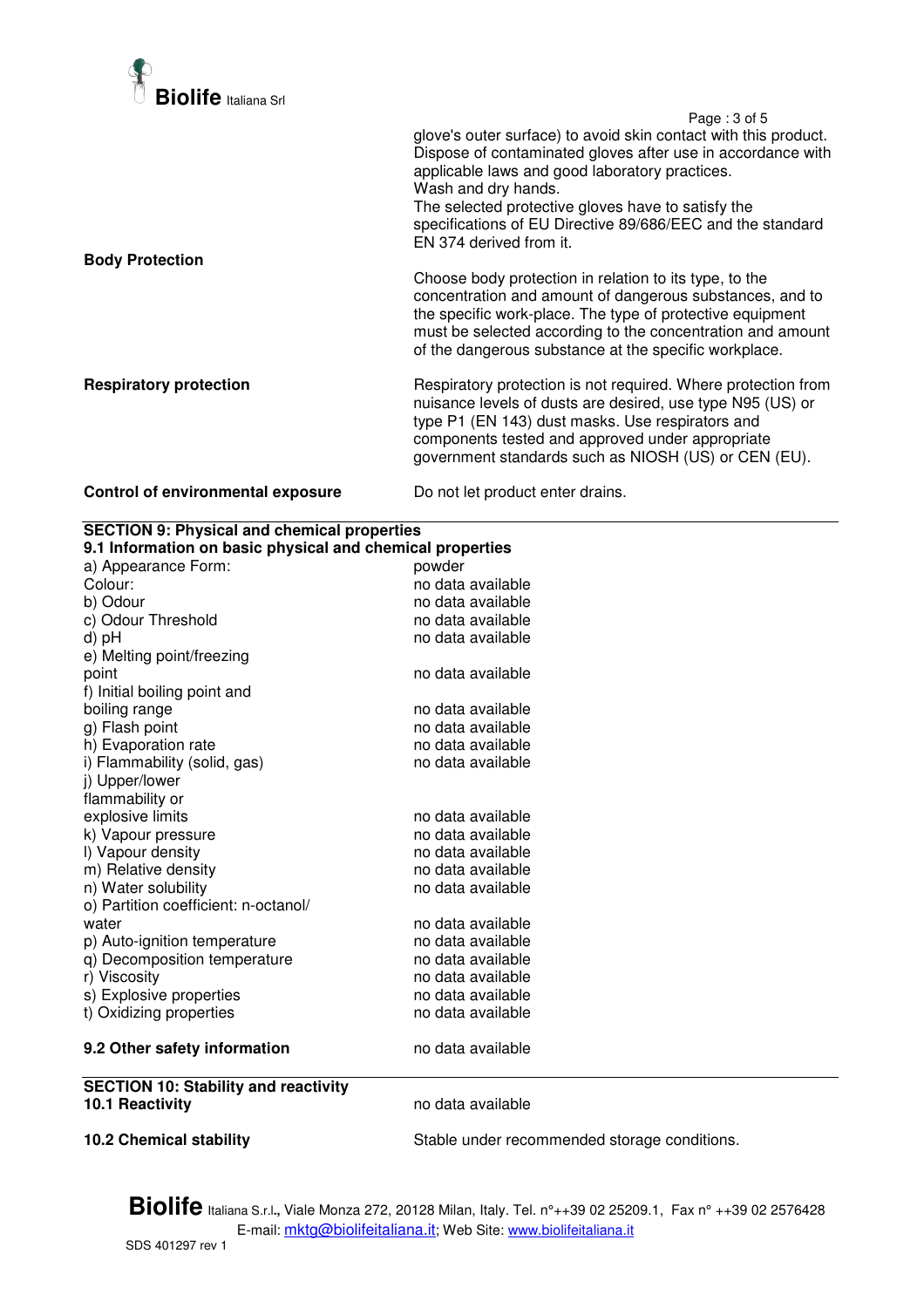

 Page : 3 of 5 glove's outer surface) to avoid skin contact with this product. Dispose of contaminated gloves after use in accordance with applicable laws and good laboratory practices. Wash and dry hands. The selected protective gloves have to satisfy the specifications of EU Directive 89/686/EEC and the standard EN 374 derived from it. **Body Protection**  Choose body protection in relation to its type, to the concentration and amount of dangerous substances, and to the specific work-place. The type of protective equipment must be selected according to the concentration and amount of the dangerous substance at the specific workplace. **Respiratory protection Respiratory protection is not required. Where protection from** nuisance levels of dusts are desired, use type N95 (US) or type P1 (EN 143) dust masks. Use respirators and components tested and approved under appropriate government standards such as NIOSH (US) or CEN (EU).

## **Control of environmental exposure** Do not let product enter drains.

| <b>SECTION 9: Physical and chemical properties</b>        |                                              |  |  |
|-----------------------------------------------------------|----------------------------------------------|--|--|
| 9.1 Information on basic physical and chemical properties |                                              |  |  |
| a) Appearance Form:                                       | powder                                       |  |  |
| Colour:                                                   | no data available                            |  |  |
| b) Odour                                                  | no data available                            |  |  |
| c) Odour Threshold                                        | no data available                            |  |  |
| d) pH                                                     | no data available                            |  |  |
| e) Melting point/freezing                                 |                                              |  |  |
| point                                                     | no data available                            |  |  |
| f) Initial boiling point and                              |                                              |  |  |
| boiling range                                             | no data available                            |  |  |
| g) Flash point                                            | no data available                            |  |  |
| h) Evaporation rate                                       | no data available                            |  |  |
| i) Flammability (solid, gas)                              | no data available                            |  |  |
| j) Upper/lower                                            |                                              |  |  |
| flammability or                                           |                                              |  |  |
| explosive limits                                          | no data available                            |  |  |
| k) Vapour pressure                                        | no data available                            |  |  |
| I) Vapour density                                         | no data available                            |  |  |
| m) Relative density                                       | no data available                            |  |  |
| n) Water solubility                                       | no data available                            |  |  |
| o) Partition coefficient: n-octanol/                      |                                              |  |  |
| water                                                     | no data available                            |  |  |
| p) Auto-ignition temperature                              | no data available                            |  |  |
| q) Decomposition temperature                              | no data available                            |  |  |
| r) Viscosity                                              | no data available                            |  |  |
| s) Explosive properties                                   | no data available                            |  |  |
| t) Oxidizing properties                                   | no data available                            |  |  |
| 9.2 Other safety information                              | no data available                            |  |  |
| <b>SECTION 10: Stability and reactivity</b>               |                                              |  |  |
| 10.1 Reactivity                                           | no data available                            |  |  |
| <b>10.2 Chemical stability</b>                            | Stable under recommended storage conditions. |  |  |

**Biolife** Italiana S.r.l**.,** Viale Monza 272, 20128 Milan, Italy. Tel. n°++39 02 25209.1, Fax n° ++39 02 2576428 E-mail: mktg@biolifeitaliana.it; Web Site: www.biolifeitaliana.it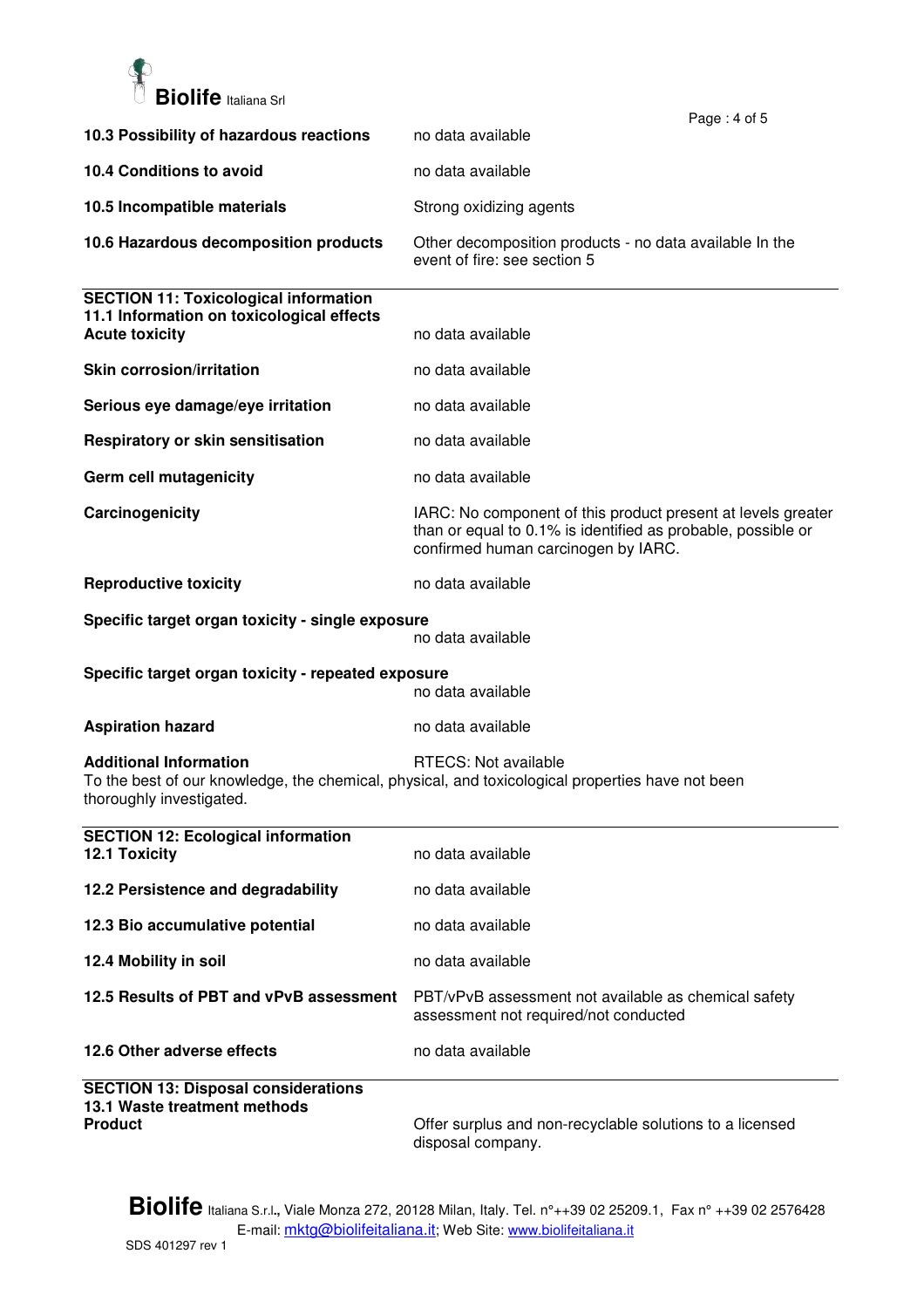

|                                                                                                                                                                                       | Page: 4 of 5                                                                                                                                                        |
|---------------------------------------------------------------------------------------------------------------------------------------------------------------------------------------|---------------------------------------------------------------------------------------------------------------------------------------------------------------------|
| 10.3 Possibility of hazardous reactions                                                                                                                                               | no data available                                                                                                                                                   |
| 10.4 Conditions to avoid                                                                                                                                                              | no data available                                                                                                                                                   |
| 10.5 Incompatible materials                                                                                                                                                           | Strong oxidizing agents                                                                                                                                             |
| 10.6 Hazardous decomposition products                                                                                                                                                 | Other decomposition products - no data available In the<br>event of fire: see section 5                                                                             |
| <b>SECTION 11: Toxicological information</b><br>11.1 Information on toxicological effects<br><b>Acute toxicity</b>                                                                    | no data available                                                                                                                                                   |
| <b>Skin corrosion/irritation</b>                                                                                                                                                      | no data available                                                                                                                                                   |
| Serious eye damage/eye irritation                                                                                                                                                     | no data available                                                                                                                                                   |
| Respiratory or skin sensitisation                                                                                                                                                     | no data available                                                                                                                                                   |
| Germ cell mutagenicity                                                                                                                                                                | no data available                                                                                                                                                   |
| Carcinogenicity                                                                                                                                                                       | IARC: No component of this product present at levels greater<br>than or equal to 0.1% is identified as probable, possible or<br>confirmed human carcinogen by IARC. |
| <b>Reproductive toxicity</b>                                                                                                                                                          | no data available                                                                                                                                                   |
| Specific target organ toxicity - single exposure                                                                                                                                      | no data available                                                                                                                                                   |
| Specific target organ toxicity - repeated exposure<br>no data available                                                                                                               |                                                                                                                                                                     |
| <b>Aspiration hazard</b>                                                                                                                                                              | no data available                                                                                                                                                   |
| <b>Additional Information</b><br>RTECS: Not available<br>To the best of our knowledge, the chemical, physical, and toxicological properties have not been<br>thoroughly investigated. |                                                                                                                                                                     |
| <b>SECTION 12: Ecological information</b><br>12.1 Toxicity                                                                                                                            | no data available                                                                                                                                                   |
| 12.2 Persistence and degradability                                                                                                                                                    | no data available                                                                                                                                                   |
| 12.3 Bio accumulative potential                                                                                                                                                       | no data available                                                                                                                                                   |
| 12.4 Mobility in soil                                                                                                                                                                 | no data available                                                                                                                                                   |
| 12.5 Results of PBT and vPvB assessment                                                                                                                                               | PBT/vPvB assessment not available as chemical safety<br>assessment not required/not conducted                                                                       |
| 12.6 Other adverse effects                                                                                                                                                            | no data available                                                                                                                                                   |
| <b>SECTION 13: Disposal considerations</b><br>13.1 Waste treatment methods<br><b>Product</b>                                                                                          | Offer surplus and non-recyclable solutions to a licensed<br>disposal company.                                                                                       |